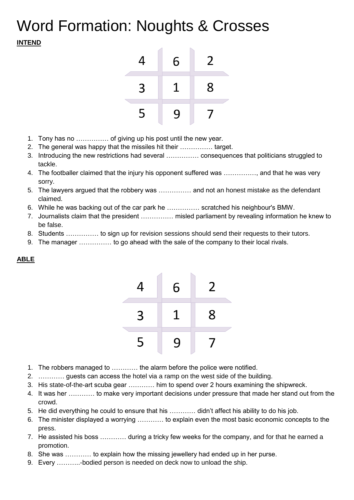## Word Formation: Noughts & Crosses **INTEND**



- 1. Tony has no …………… of giving up his post until the new year.
- 2. The general was happy that the missiles hit their …………… target.
- 3. Introducing the new restrictions had several …………… consequences that politicians struggled to tackle.
- 4. The footballer claimed that the injury his opponent suffered was ……………, and that he was very sorry.
- 5. The lawyers argued that the robbery was …………… and not an honest mistake as the defendant claimed.
- 6. While he was backing out of the car park he …………… scratched his neighbour's BMW.
- 7. Journalists claim that the president …………… misled parliament by revealing information he knew to be false.
- 8. Students …………… to sign up for revision sessions should send their requests to their tutors.
- 9. The manager …………… to go ahead with the sale of the company to their local rivals.



## **ABLE**

- 1. The robbers managed to ………… the alarm before the police were notified.
- 2. ………… guests can access the hotel via a ramp on the west side of the building.
- 3. His state-of-the-art scuba gear ………… him to spend over 2 hours examining the shipwreck.
- 4. It was her ………… to make very important decisions under pressure that made her stand out from the crowd.
- 5. He did everything he could to ensure that his ………… didn't affect his ability to do his job.
- 6. The minister displayed a worrying ………… to explain even the most basic economic concepts to the press.
- 7. He assisted his boss ………… during a tricky few weeks for the company, and for that he earned a promotion.
- 8. She was ………… to explain how the missing jewellery had ended up in her purse.
- 9. Every ………..-bodied person is needed on deck now to unload the ship.